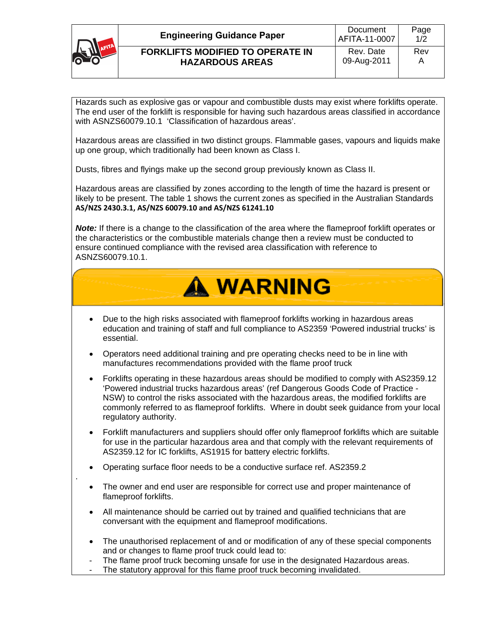

.

Hazards such as explosive gas or vapour and combustible dusts may exist where forklifts operate. The end user of the forklift is responsible for having such hazardous areas classified in accordance with ASNZS60079.10.1 'Classification of hazardous areas'.

Hazardous areas are classified in two distinct groups. Flammable gases, vapours and liquids make up one group, which traditionally had been known as Class I.

Dusts, fibres and flyings make up the second group previously known as Class II.

Hazardous areas are classified by zones according to the length of time the hazard is present or likely to be present. The table 1 shows the current zones as specified in the Australian Standards **AS/NZS 2430.3.1, AS/NZS 60079.10 and AS/NZS 61241.10**

**Note:** If there is a change to the classification of the area where the flameproof forklift operates or the characteristics or the combustible materials change then a review must be conducted to ensure continued compliance with the revised area classification with reference to ASNZS60079.10.1.



- Due to the high risks associated with flameproof forklifts working in hazardous areas education and training of staff and full compliance to AS2359 'Powered industrial trucks' is essential.
- Operators need additional training and pre operating checks need to be in line with manufactures recommendations provided with the flame proof truck
- Forklifts operating in these hazardous areas should be modified to comply with AS2359.12 'Powered industrial trucks hazardous areas' (ref Dangerous Goods Code of Practice - NSW) to control the risks associated with the hazardous areas, the modified forklifts are commonly referred to as flameproof forklifts. Where in doubt seek guidance from your local regulatory authority.
- Forklift manufacturers and suppliers should offer only flameproof forklifts which are suitable for use in the particular hazardous area and that comply with the relevant requirements of AS2359.12 for IC forklifts, AS1915 for battery electric forklifts.
- Operating surface floor needs to be a conductive surface ref. AS2359.2
- The owner and end user are responsible for correct use and proper maintenance of flameproof forklifts.
- All maintenance should be carried out by trained and qualified technicians that are conversant with the equipment and flameproof modifications.
- The unauthorised replacement of and or modification of any of these special components and or changes to flame proof truck could lead to:
- The flame proof truck becoming unsafe for use in the designated Hazardous areas.
- The statutory approval for this flame proof truck becoming invalidated.